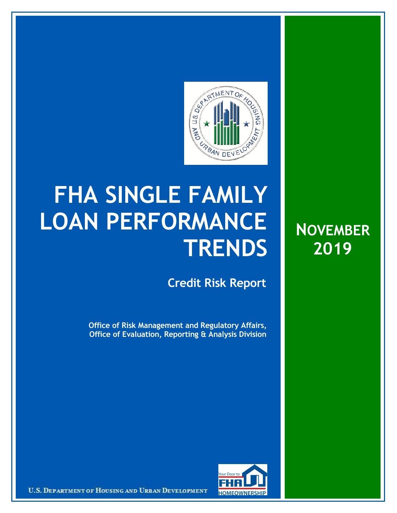

## **FHA SINGLE FAMILY LOAN PERFORMANCE TRENDS**

**Credit Risk Report**

**Office of Risk Management and Regulatory Affairs, Office of Evaluation, Reporting & Analysis Division**





U.S. DEPARTMENT OF HOUSING AND URBAN DEVELOPMENT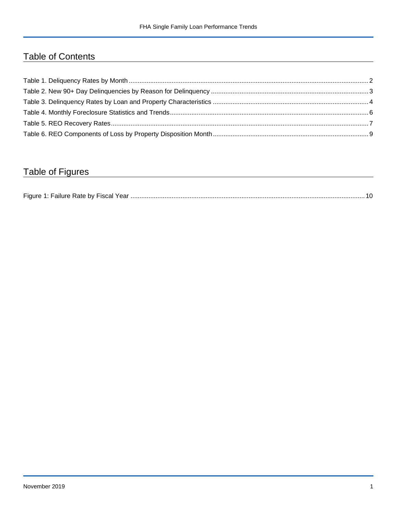## Table of Contents

## Table of Figures

| $-$ laure. |  |
|------------|--|
|------------|--|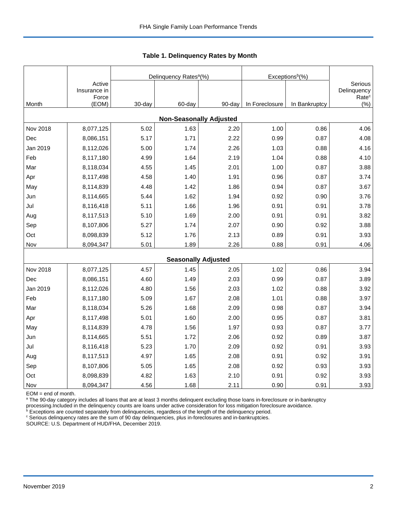|                                |                                 |        | Delinquency Rates <sup>a</sup> (%) |        | Exceptions <sup>b</sup> (%) |               |                                             |  |  |  |  |
|--------------------------------|---------------------------------|--------|------------------------------------|--------|-----------------------------|---------------|---------------------------------------------|--|--|--|--|
|                                | Active<br>Insurance in<br>Force |        |                                    |        |                             |               | Serious<br>Delinquency<br>Rate <sup>c</sup> |  |  |  |  |
| Month                          | (EOM)                           | 30-day | 60-day                             | 90-day | In Foreclosure              | In Bankruptcy | $(\% )$                                     |  |  |  |  |
| <b>Non-Seasonally Adjusted</b> |                                 |        |                                    |        |                             |               |                                             |  |  |  |  |
| Nov 2018                       | 8,077,125                       | 5.02   | 1.63                               | 2.20   | 1.00                        | 0.86          | 4.06                                        |  |  |  |  |
| Dec                            | 8,086,151                       | 5.17   | 1.71                               | 2.22   | 0.99                        | 0.87          | 4.08                                        |  |  |  |  |
| Jan 2019                       | 8,112,026                       | 5.00   | 1.74                               | 2.26   | 1.03                        | 0.88          | 4.16                                        |  |  |  |  |
| Feb                            | 8,117,180                       | 4.99   | 1.64                               | 2.19   | 1.04                        | 0.88          | 4.10                                        |  |  |  |  |
| Mar                            | 8,118,034                       | 4.55   | 1.45                               | 2.01   | 1.00                        | 0.87          | 3.88                                        |  |  |  |  |
| Apr                            | 8,117,498                       | 4.58   | 1.40                               | 1.91   | 0.96                        | 0.87          | 3.74                                        |  |  |  |  |
| May                            | 8,114,839                       | 4.48   | 1.42                               | 1.86   | 0.94                        | 0.87          | 3.67                                        |  |  |  |  |
| Jun                            | 8,114,665                       | 5.44   | 1.62                               | 1.94   | 0.92                        | 0.90          | 3.76                                        |  |  |  |  |
| Jul                            | 8,116,418                       | 5.11   | 1.66                               | 1.96   | 0.91                        | 0.91          | 3.78                                        |  |  |  |  |
| Aug                            | 8,117,513                       | 5.10   | 1.69                               | 2.00   | 0.91                        | 0.91          | 3.82                                        |  |  |  |  |
| Sep                            | 8,107,806                       | 5.27   | 1.74                               | 2.07   | 0.90                        | 0.92          | 3.88                                        |  |  |  |  |
| Oct                            | 8,098,839                       | 5.12   | 1.76                               | 2.13   | 0.89                        | 0.91          | 3.93                                        |  |  |  |  |
| Nov                            | 8,094,347                       | 5.01   | 1.89                               | 2.26   | 0.88                        | 0.91          | 4.06                                        |  |  |  |  |
|                                |                                 |        | <b>Seasonally Adjusted</b>         |        |                             |               |                                             |  |  |  |  |
| Nov 2018                       | 8,077,125                       | 4.57   | 1.45                               | 2.05   | 1.02                        | 0.86          | 3.94                                        |  |  |  |  |
| Dec                            | 8,086,151                       | 4.60   | 1.49                               | 2.03   | 0.99                        | 0.87          | 3.89                                        |  |  |  |  |
| Jan 2019                       | 8,112,026                       | 4.80   | 1.56                               | 2.03   | 1.02                        | 0.88          | 3.92                                        |  |  |  |  |
| Feb                            | 8,117,180                       | 5.09   | 1.67                               | 2.08   | 1.01                        | 0.88          | 3.97                                        |  |  |  |  |
| Mar                            | 8,118,034                       | 5.26   | 1.68                               | 2.09   | 0.98                        | 0.87          | 3.94                                        |  |  |  |  |
| Apr                            | 8,117,498                       | 5.01   | 1.60                               | 2.00   | 0.95                        | 0.87          | 3.81                                        |  |  |  |  |
| May                            | 8,114,839                       | 4.78   | 1.56                               | 1.97   | 0.93                        | 0.87          | 3.77                                        |  |  |  |  |
| Jun                            | 8,114,665                       | 5.51   | 1.72                               | 2.06   | 0.92                        | 0.89          | 3.87                                        |  |  |  |  |
| Jul                            | 8,116,418                       | 5.23   | 1.70                               | 2.09   | 0.92                        | 0.91          | 3.93                                        |  |  |  |  |
| Aug                            | 8,117,513                       | 4.97   | 1.65                               | 2.08   | 0.91                        | 0.92          | 3.91                                        |  |  |  |  |
| Sep                            | 8,107,806                       | 5.05   | 1.65                               | 2.08   | 0.92                        | 0.93          | 3.93                                        |  |  |  |  |
| Oct                            | 8,098,839                       | 4.82   | 1.63                               | 2.10   | 0.91                        | 0.92          | 3.93                                        |  |  |  |  |
| Nov                            | 8,094,347                       | 4.56   | 1.68                               | 2.11   | 0.90                        | 0.91          | 3.93                                        |  |  |  |  |

 **Table 1. Delinquency Rates by Month**

EOM = end of month.

<sup>a</sup> The 90-day category includes all loans that are at least 3 months delinquent excluding those loans in-foreclosure or in-bankruptcy

processing.Included in the delinquency counts are loans under active consideration for loss mitigation foreclosure avoidance.<br><sup>b</sup> Exceptions are counted separately from delinquencies, regardless of the length of the delinq

<sup>c</sup> Serious delinquency rates are the sum of 90 day delinquencies, plus in-foreclosures and in-bankruptcies.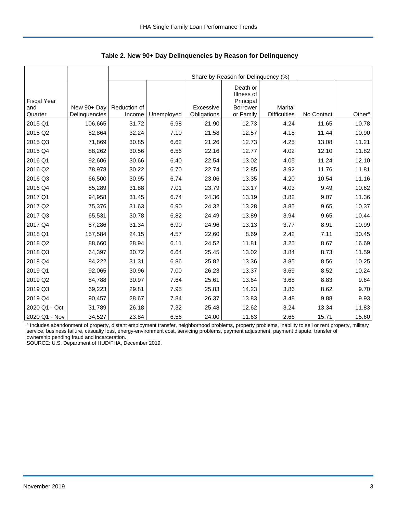|                                      |                              |                        | Share by Reason for Delinquency (%) |                          |                                                              |                                       |            |                    |  |  |  |  |
|--------------------------------------|------------------------------|------------------------|-------------------------------------|--------------------------|--------------------------------------------------------------|---------------------------------------|------------|--------------------|--|--|--|--|
| <b>Fiscal Year</b><br>and<br>Quarter | New 90+ Day<br>Delinquencies | Reduction of<br>Income | Unemployed                          | Excessive<br>Obligations | Death or<br>Illness of<br>Principal<br>Borrower<br>or Family | <b>Marital</b><br><b>Difficulties</b> | No Contact | Other <sup>a</sup> |  |  |  |  |
|                                      |                              |                        |                                     |                          |                                                              |                                       |            |                    |  |  |  |  |
| 2015 Q1                              | 106,665                      | 31.72                  | 6.98                                | 21.90                    | 12.73                                                        | 4.24                                  | 11.65      | 10.78              |  |  |  |  |
| 2015 Q2                              | 82,864                       | 32.24                  | 7.10                                | 21.58                    | 12.57                                                        | 4.18                                  | 11.44      | 10.90              |  |  |  |  |
| 2015 Q3                              | 71,869                       | 30.85                  | 6.62                                | 21.26                    | 12.73                                                        | 4.25                                  | 13.08      | 11.21              |  |  |  |  |
| 2015 Q4                              | 88,262                       | 30.56                  | 6.56                                | 22.16                    | 12.77                                                        | 4.02                                  | 12.10      | 11.82              |  |  |  |  |
| 2016 Q1                              | 92,606                       | 30.66                  | 6.40                                | 22.54                    | 13.02                                                        | 4.05                                  | 11.24      | 12.10              |  |  |  |  |
| 2016 Q2                              | 78,978                       | 30.22                  | 6.70                                | 22.74                    | 12.85                                                        | 3.92                                  | 11.76      | 11.81              |  |  |  |  |
| 2016 Q3                              | 66,500                       | 30.95                  | 6.74                                | 23.06                    | 13.35                                                        | 4.20                                  | 10.54      | 11.16              |  |  |  |  |
| 2016 Q4                              | 85,289                       | 31.88                  | 7.01                                | 23.79                    | 13.17                                                        | 4.03                                  | 9.49       | 10.62              |  |  |  |  |
| 2017 Q1                              | 94,958                       | 31.45                  | 6.74                                | 24.36                    | 13.19                                                        | 3.82                                  | 9.07       | 11.36              |  |  |  |  |
| 2017 Q2                              | 75,376                       | 31.63                  | 6.90                                | 24.32                    | 13.28                                                        | 3.85                                  | 9.65       | 10.37              |  |  |  |  |
| 2017 Q3                              | 65,531                       | 30.78                  | 6.82                                | 24.49                    | 13.89                                                        | 3.94                                  | 9.65       | 10.44              |  |  |  |  |
| 2017 Q4                              | 87,286                       | 31.34                  | 6.90                                | 24.96                    | 13.13                                                        | 3.77                                  | 8.91       | 10.99              |  |  |  |  |
| 2018 Q1                              | 157,584                      | 24.15                  | 4.57                                | 22.60                    | 8.69                                                         | 2.42                                  | 7.11       | 30.45              |  |  |  |  |
| 2018 Q2                              | 88,660                       | 28.94                  | 6.11                                | 24.52                    | 11.81                                                        | 3.25                                  | 8.67       | 16.69              |  |  |  |  |
| 2018 Q3                              | 64,397                       | 30.72                  | 6.64                                | 25.45                    | 13.02                                                        | 3.84                                  | 8.73       | 11.59              |  |  |  |  |
| 2018 Q4                              | 84,222                       | 31.31                  | 6.86                                | 25.82                    | 13.36                                                        | 3.85                                  | 8.56       | 10.25              |  |  |  |  |
| 2019 Q1                              | 92,065                       | 30.96                  | 7.00                                | 26.23                    | 13.37                                                        | 3.69                                  | 8.52       | 10.24              |  |  |  |  |
| 2019 Q2                              | 84,788                       | 30.97                  | 7.64                                | 25.61                    | 13.64                                                        | 3.68                                  | 8.83       | 9.64               |  |  |  |  |
| 2019 Q3                              | 69,223                       | 29.81                  | 7.95                                | 25.83                    | 14.23                                                        | 3.86                                  | 8.62       | 9.70               |  |  |  |  |
| 2019 Q4                              | 90,457                       | 28.67                  | 7.84                                | 26.37                    | 13.83                                                        | 3.48                                  | 9.88       | 9.93               |  |  |  |  |
| 2020 Q1 - Oct                        | 31,789                       | 26.18                  | 7.32                                | 25.48                    | 12.62                                                        | 3.24                                  | 13.34      | 11.83              |  |  |  |  |
| 2020 Q1 - Nov                        | 34,527                       | 23.84                  | 6.56                                | 24.00                    | 11.63                                                        | 2.66                                  | 15.71      | 15.60              |  |  |  |  |

 **Table 2. New 90+ Day Delinquencies by Reason for Delinquency**

a Includes abandonment of property, distant employment transfer, neighborhood problems, property problems, inability to sell or rent property, military service, business failure, casualty loss, energy-environment cost, servicing problems, payment adjustment, payment dispute, transfer of ownership pending fraud and incarceration.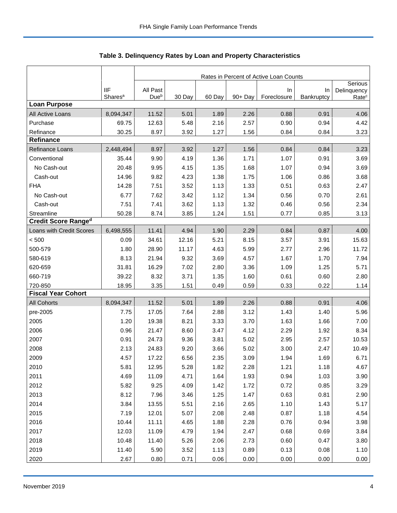|                            |                                   | Rates in Percent of Active Loan Counts |        |        |            |                   |                  |                                  |  |  |
|----------------------------|-----------------------------------|----------------------------------------|--------|--------|------------|-------------------|------------------|----------------------------------|--|--|
|                            |                                   |                                        |        |        |            |                   |                  | Serious                          |  |  |
|                            | <b>IIF</b><br>Shares <sup>a</sup> | All Past<br>Due <sup>b</sup>           | 30 Day | 60 Day | $90 + Day$ | In<br>Foreclosure | In<br>Bankruptcy | Delinquency<br>Rate <sup>c</sup> |  |  |
| <b>Loan Purpose</b>        |                                   |                                        |        |        |            |                   |                  |                                  |  |  |
| All Active Loans           | 8,094,347                         | 11.52                                  | 5.01   | 1.89   | 2.26       | 0.88              | 0.91             | 4.06                             |  |  |
| Purchase                   | 69.75                             | 12.63                                  | 5.48   | 2.16   | 2.57       | 0.90              | 0.94             | 4.42                             |  |  |
| Refinance                  | 30.25                             | 8.97                                   | 3.92   | 1.27   | 1.56       | 0.84              | 0.84             | 3.23                             |  |  |
| <b>Refinance</b>           |                                   |                                        |        |        |            |                   |                  |                                  |  |  |
| Refinance Loans            | 2,448,494                         | 8.97                                   | 3.92   | 1.27   | 1.56       | 0.84              | 0.84             | 3.23                             |  |  |
| Conventional               | 35.44                             | 9.90                                   | 4.19   | 1.36   | 1.71       | 1.07              | 0.91             | 3.69                             |  |  |
| No Cash-out                | 20.48                             | 9.95                                   | 4.15   | 1.35   | 1.68       | 1.07              | 0.94             | 3.69                             |  |  |
| Cash-out                   | 14.96                             | 9.82                                   | 4.23   | 1.38   | 1.75       | 1.06              | 0.86             | 3.68                             |  |  |
| <b>FHA</b>                 | 14.28                             | 7.51                                   | 3.52   | 1.13   | 1.33       | 0.51              | 0.63             | 2.47                             |  |  |
| No Cash-out                | 6.77                              | 7.62                                   | 3.42   | 1.12   | 1.34       | 0.56              | 0.70             | 2.61                             |  |  |
| Cash-out                   | 7.51                              | 7.41                                   | 3.62   | 1.13   | 1.32       | 0.46              | 0.56             | 2.34                             |  |  |
| Streamline                 | 50.28                             | 8.74                                   | 3.85   | 1.24   | 1.51       | 0.77              | 0.85             | 3.13                             |  |  |
| <b>Credit Score Ranged</b> |                                   |                                        |        |        |            |                   |                  |                                  |  |  |
| Loans with Credit Scores   | 6,498,555                         | 11.41                                  | 4.94   | 1.90   | 2.29       | 0.84              | 0.87             | 4.00                             |  |  |
| < 500                      | 0.09                              | 34.61                                  | 12.16  | 5.21   | 8.15       | 3.57              | 3.91             | 15.63                            |  |  |
| 500-579                    | 1.80                              | 28.90                                  | 11.17  | 4.63   | 5.99       | 2.77              | 2.96             | 11.72                            |  |  |
| 580-619                    | 8.13                              | 21.94                                  | 9.32   | 3.69   | 4.57       | 1.67              | 1.70             | 7.94                             |  |  |
| 620-659                    | 31.81                             | 16.29                                  | 7.02   | 2.80   | 3.36       | 1.09              | 1.25             | 5.71                             |  |  |
| 660-719                    | 39.22                             | 8.32                                   | 3.71   | 1.35   | 1.60       | 0.61              | 0.60             | 2.80                             |  |  |
| 720-850                    | 18.95                             | 3.35                                   | 1.51   | 0.49   | 0.59       | 0.33              | 0.22             | 1.14                             |  |  |
| <b>Fiscal Year Cohort</b>  |                                   |                                        |        |        |            |                   |                  |                                  |  |  |
| <b>All Cohorts</b>         | 8,094,347                         | 11.52                                  | 5.01   | 1.89   | 2.26       | 0.88              | 0.91             | 4.06                             |  |  |
| pre-2005                   | 7.75                              | 17.05                                  | 7.64   | 2.88   | 3.12       | 1.43              | 1.40             | 5.96                             |  |  |
| 2005                       | 1.20                              | 19.38                                  | 8.21   | 3.33   | 3.70       | 1.63              | 1.66             | 7.00                             |  |  |
| 2006                       | 0.96                              | 21.47                                  | 8.60   | 3.47   | 4.12       | 2.29              | 1.92             | 8.34                             |  |  |
| 2007                       | 0.91                              | 24.73                                  | 9.36   | 3.81   | 5.02       | 2.95              | 2.57             | 10.53                            |  |  |
| 2008                       | 2.13                              | 24.83                                  | 9.20   | 3.66   | 5.02       | 3.00              | 2.47             | 10.49                            |  |  |
| 2009                       | 4.57                              | 17.22                                  | 6.56   | 2.35   | 3.09       | 1.94              | 1.69             | 6.71                             |  |  |
| 2010                       | 5.81                              | 12.95                                  | 5.28   | 1.82   | 2.28       | 1.21              | 1.18             | 4.67                             |  |  |
| 2011                       | 4.69                              | 11.09                                  | 4.71   | 1.64   | 1.93       | 0.94              | 1.03             | 3.90                             |  |  |
| 2012                       | 5.82                              | 9.25                                   | 4.09   | 1.42   | 1.72       | 0.72              | 0.85             | 3.29                             |  |  |
| 2013                       | 8.12                              | 7.96                                   | 3.46   | 1.25   | 1.47       | 0.63              | 0.81             | 2.90                             |  |  |
| 2014                       | 3.84                              | 13.55                                  | 5.51   | 2.16   | 2.65       | 1.10              | 1.43             | 5.17                             |  |  |
| 2015                       | 7.19                              | 12.01                                  | 5.07   | 2.08   | 2.48       | 0.87              | 1.18             | 4.54                             |  |  |
| 2016                       | 10.44                             | 11.11                                  | 4.65   | 1.88   | 2.28       | 0.76              | 0.94             | 3.98                             |  |  |
| 2017                       | 12.03                             | 11.09                                  | 4.79   | 1.94   | 2.47       | 0.68              | 0.69             | 3.84                             |  |  |
| 2018                       | 10.48                             | 11.40                                  | 5.26   | 2.06   | 2.73       | 0.60              | 0.47             | 3.80                             |  |  |
| 2019                       | 11.40                             | 5.90                                   | 3.52   | 1.13   | 0.89       | 0.13              | 0.08             | 1.10                             |  |  |
| 2020                       | 2.67                              | 0.80                                   | 0.71   | 0.06   | 0.00       | 0.00              | 0.00             | 0.00                             |  |  |

**Table 3. Delinquency Rates by Loan and Property Characteristics**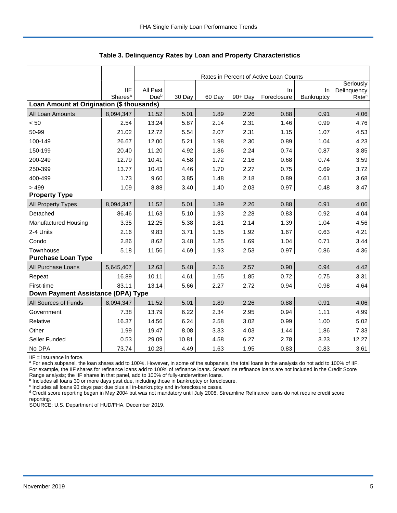|                                           |                     | Rates in Percent of Active Loan Counts |        |        |         |             |            |                          |  |  |  |
|-------------------------------------------|---------------------|----------------------------------------|--------|--------|---------|-------------|------------|--------------------------|--|--|--|
|                                           | <b>IIF</b>          | All Past                               |        |        |         | In          | $\ln$      | Seriously<br>Delinquency |  |  |  |
|                                           | Shares <sup>a</sup> | Dueb                                   | 30 Day | 60 Day | 90+ Day | Foreclosure | Bankruptcy | Rate <sup>c</sup>        |  |  |  |
| Loan Amount at Origination (\$ thousands) |                     |                                        |        |        |         |             |            |                          |  |  |  |
| All Loan Amounts                          | 8,094,347           | 11.52                                  | 5.01   | 1.89   | 2.26    | 0.88        | 0.91       | 4.06                     |  |  |  |
| < 50                                      | 2.54                | 13.24                                  | 5.87   | 2.14   | 2.31    | 1.46        | 0.99       | 4.76                     |  |  |  |
| 50-99                                     | 21.02               | 12.72                                  | 5.54   | 2.07   | 2.31    | 1.15        | 1.07       | 4.53                     |  |  |  |
| 100-149                                   | 26.67               | 12.00                                  | 5.21   | 1.98   | 2.30    | 0.89        | 1.04       | 4.23                     |  |  |  |
| 150-199                                   | 20.40               | 11.20                                  | 4.92   | 1.86   | 2.24    | 0.74        | 0.87       | 3.85                     |  |  |  |
| 200-249                                   | 12.79               | 10.41                                  | 4.58   | 1.72   | 2.16    | 0.68        | 0.74       | 3.59                     |  |  |  |
| 250-399                                   | 13.77               | 10.43                                  | 4.46   | 1.70   | 2.27    | 0.75        | 0.69       | 3.72                     |  |  |  |
| 400-499                                   | 1.73                | 9.60                                   | 3.85   | 1.48   | 2.18    | 0.89        | 0.61       | 3.68                     |  |  |  |
| > 499                                     | 1.09                | 8.88                                   | 3.40   | 1.40   | 2.03    | 0.97        | 0.48       | 3.47                     |  |  |  |
| <b>Property Type</b>                      |                     |                                        |        |        |         |             |            |                          |  |  |  |
| All Property Types                        | 8,094,347           | 11.52                                  | 5.01   | 1.89   | 2.26    | 0.88        | 0.91       | 4.06                     |  |  |  |
| Detached                                  | 86.46               | 11.63                                  | 5.10   | 1.93   | 2.28    | 0.83        | 0.92       | 4.04                     |  |  |  |
| Manufactured Housing                      | 3.35                | 12.25                                  | 5.38   | 1.81   | 2.14    | 1.39        | 1.04       | 4.56                     |  |  |  |
| 2-4 Units                                 | 2.16                | 9.83                                   | 3.71   | 1.35   | 1.92    | 1.67        | 0.63       | 4.21                     |  |  |  |
| Condo                                     | 2.86                | 8.62                                   | 3.48   | 1.25   | 1.69    | 1.04        | 0.71       | 3.44                     |  |  |  |
| Townhouse                                 | 5.18                | 11.56                                  | 4.69   | 1.93   | 2.53    | 0.97        | 0.86       | 4.36                     |  |  |  |
| <b>Purchase Loan Type</b>                 |                     |                                        |        |        |         |             |            |                          |  |  |  |
| All Purchase Loans                        | 5,645,407           | 12.63                                  | 5.48   | 2.16   | 2.57    | 0.90        | 0.94       | 4.42                     |  |  |  |
| Repeat                                    | 16.89               | 10.11                                  | 4.61   | 1.65   | 1.85    | 0.72        | 0.75       | 3.31                     |  |  |  |
| First-time                                | 83.11               | 13.14                                  | 5.66   | 2.27   | 2.72    | 0.94        | 0.98       | 4.64                     |  |  |  |
| Down Payment Assistance (DPA) Type        |                     |                                        |        |        |         |             |            |                          |  |  |  |
| All Sources of Funds                      | 8,094,347           | 11.52                                  | 5.01   | 1.89   | 2.26    | 0.88        | 0.91       | 4.06                     |  |  |  |
| Government                                | 7.38                | 13.79                                  | 6.22   | 2.34   | 2.95    | 0.94        | 1.11       | 4.99                     |  |  |  |
| Relative                                  | 16.37               | 14.56                                  | 6.24   | 2.58   | 3.02    | 0.99        | 1.00       | 5.02                     |  |  |  |
| Other                                     | 1.99                | 19.47                                  | 8.08   | 3.33   | 4.03    | 1.44        | 1.86       | 7.33                     |  |  |  |
| Seller Funded                             | 0.53                | 29.09                                  | 10.81  | 4.58   | 6.27    | 2.78        | 3.23       | 12.27                    |  |  |  |
| No DPA                                    | 73.74               | 10.28                                  | 4.49   | 1.63   | 1.95    | 0.83        | 0.83       | 3.61                     |  |  |  |

 **Table 3. Delinquency Rates by Loan and Property Characteristics**

IIF = insurance in force.

<sup>a</sup> For each subpanel, the loan shares add to 100%. However, in some of the subpanels, the total loans in the analysis do not add to 100% of IIF. For example, the IIF shares for refinance loans add to 100% of refinance loans. Streamline refinance loans are not included in the Credit Score

Range analysis; the IIF shares in that panel, add to 100% of fully-underwritten loans.<br><sup>b</sup> Includes all loans 30 or more days past due, including those in bankruptcy or foreclosure.

<sup>c</sup> Includes all loans 90 days past due plus all in-bankruptcy and in-foreclosure cases.

<sup>d</sup> Credit score reporting began in May 2004 but was not mandatory until July 2008. Streamline Refinance loans do not require credit score reporting.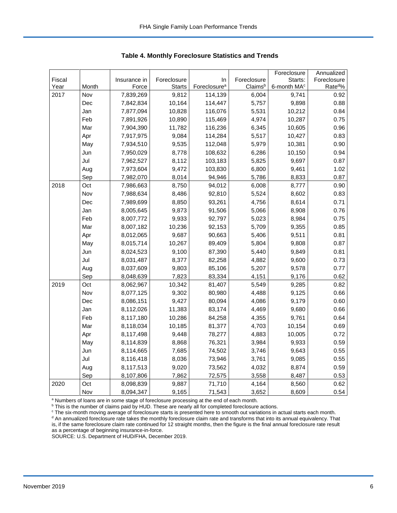| Fiscal<br>Foreclosure<br>Foreclosure<br>Starts:<br>Foreclosure<br>Insurance in<br>In<br>Foreclosure <sup>a</sup><br>Year<br>Month<br>Force<br><b>Starts</b><br>Claimsb<br>6-month MA <sup>c</sup><br>2017<br>Nov<br>7,839,269<br>9,812<br>114,139<br>6,004<br>9,741 | Rate <sup>d</sup> %<br>0.92<br>0.88 |
|---------------------------------------------------------------------------------------------------------------------------------------------------------------------------------------------------------------------------------------------------------------------|-------------------------------------|
|                                                                                                                                                                                                                                                                     |                                     |
|                                                                                                                                                                                                                                                                     |                                     |
|                                                                                                                                                                                                                                                                     |                                     |
| 10,164<br>5,757<br>9,898<br>Dec<br>7,842,834<br>114,447                                                                                                                                                                                                             |                                     |
| Jan<br>7,877,094<br>10,828<br>116,076<br>5,531<br>10,212                                                                                                                                                                                                            | 0.84                                |
| Feb<br>10,890<br>115,469<br>4,974<br>7,891,926<br>10,287                                                                                                                                                                                                            | 0.75                                |
| Mar<br>7,904,390<br>11,782<br>116,236<br>6,345<br>10,605                                                                                                                                                                                                            | 0.96                                |
| Apr<br>7,917,975<br>9,084<br>114,284<br>5,517<br>10,427                                                                                                                                                                                                             | 0.83                                |
| 7,934,510<br>9,535<br>112,048<br>5,979<br>10,381<br>May                                                                                                                                                                                                             | 0.90                                |
| 7,950,029<br>8,778<br>108,632<br>6,286<br>10,150<br>Jun                                                                                                                                                                                                             | 0.94                                |
| Jul<br>8,112<br>5,825<br>9,697<br>7,962,527<br>103,183                                                                                                                                                                                                              | 0.87                                |
| Aug<br>9,472<br>6,800<br>9,461<br>7,973,604<br>103,830                                                                                                                                                                                                              | 1.02                                |
| Sep<br>7,982,070<br>8,014<br>94,946<br>5,786<br>8,833                                                                                                                                                                                                               | 0.87                                |
| 2018<br>Oct<br>7,986,663<br>8,750<br>94,012<br>6,008<br>8,777                                                                                                                                                                                                       | 0.90                                |
| Nov<br>7,988,634<br>8,486<br>92,810<br>5,524<br>8,602                                                                                                                                                                                                               | 0.83                                |
| 93,261<br>Dec<br>7,989,699<br>8,850<br>4,756<br>8,614                                                                                                                                                                                                               | 0.71                                |
| 8,005,645<br>9,873<br>91,506<br>5,066<br>8,908<br>Jan                                                                                                                                                                                                               | 0.76                                |
| Feb<br>8,007,772<br>9,933<br>92,797<br>5,023<br>8,984                                                                                                                                                                                                               | 0.75                                |
| Mar<br>8,007,182<br>10,236<br>92,153<br>5,709<br>9,355                                                                                                                                                                                                              | 0.85                                |
| 9,687<br>90,663<br>5,406<br>9,511<br>Apr<br>8,012,065                                                                                                                                                                                                               | 0.81                                |
| 5,804<br>May<br>8,015,714<br>10,267<br>89,409<br>9,808                                                                                                                                                                                                              | 0.87                                |
| Jun<br>8,024,523<br>9,100<br>87,390<br>5,440<br>9,849                                                                                                                                                                                                               | 0.81                                |
| Jul<br>8,377<br>4,882<br>9,600<br>8,031,487<br>82,258                                                                                                                                                                                                               | 0.73                                |
| 85,106<br>5,207<br>Aug<br>8,037,609<br>9,803<br>9,578                                                                                                                                                                                                               | 0.77                                |
| 83,334<br>Sep<br>8,048,639<br>7,823<br>4,151<br>9,176                                                                                                                                                                                                               | 0.62                                |
| 2019<br>Oct<br>10,342<br>81,407<br>5,549<br>9,285<br>8,062,967                                                                                                                                                                                                      | 0.82                                |
| Nov<br>8,077,125<br>9,302<br>80,980<br>4,488<br>9,125                                                                                                                                                                                                               | 0.66                                |
| 9,427<br>Dec<br>8,086,151<br>80,094<br>4,086<br>9,179                                                                                                                                                                                                               | 0.60                                |
| 11,383<br>8,112,026<br>83,174<br>4,469<br>9,680<br>Jan                                                                                                                                                                                                              | 0.66                                |
| Feb<br>8,117,180<br>10,286<br>84,258<br>4,355<br>9,761                                                                                                                                                                                                              | 0.64                                |
| Mar<br>8,118,034<br>10,185<br>81,377<br>4,703<br>10,154                                                                                                                                                                                                             | 0.69                                |
| 9,448<br>78,277<br>4,883<br>10,005<br>Apr<br>8,117,498                                                                                                                                                                                                              | 0.72                                |
| 8,868<br>3,984<br>9,933<br>May<br>8,114,839<br>76,321                                                                                                                                                                                                               | 0.59                                |
| Jun<br>7,685<br>74,502<br>3,746<br>9,643<br>8,114,665                                                                                                                                                                                                               | 0.55                                |
| Jul<br>8,116,418<br>8,036<br>73,946<br>3,761<br>9,085                                                                                                                                                                                                               | 0.55                                |
| Aug<br>8,117,513<br>9,020<br>73,562<br>4,032<br>8,874                                                                                                                                                                                                               | 0.59                                |
| Sep<br>8,107,806<br>7,862<br>72,575<br>3,558<br>8,487                                                                                                                                                                                                               | 0.53                                |
| Oct<br>2020<br>8,098,839<br>9,887<br>71,710<br>4,164<br>8,560                                                                                                                                                                                                       | 0.62                                |
| 8,094,347<br>9,165<br>71,543<br>3,652<br>8,609<br>Nov                                                                                                                                                                                                               | 0.54                                |

 **Table 4. Monthly Foreclosure Statistics and Trends**

<sup>a</sup> Numbers of loans are in some stage of foreclosure processing at the end of each month.

<sup>b</sup> This is the number of claims paid by HUD. These are nearly all for completed foreclosure actions.

<sup>c</sup> The six-month moving average of foreclosure starts is presented here to smooth out variations in actual starts each month. <sup>d</sup> An annualized foreclosure rate takes the monthly foreclosure claim rate and transforms that into its annual equivalency. That is, if the same foreclosure claim rate continued for 12 straight months, then the figure is the final annual foreclosure rate result as a percentage of beginning insurance-in-force.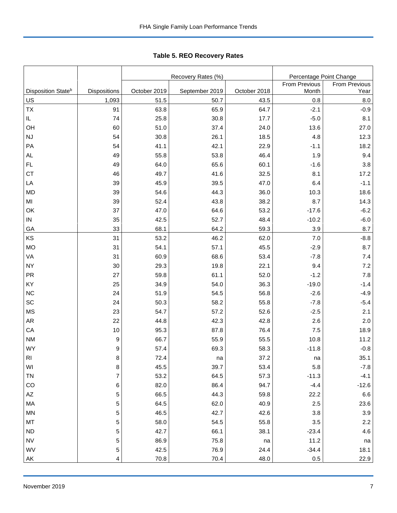Tabl e 5. REO R ecovery R ates **Table 5. REO Recovery Rates**

|                                |                |              | Recovery Rates (%) | Percentage Point Change |               |         |  |
|--------------------------------|----------------|--------------|--------------------|-------------------------|---------------|---------|--|
|                                |                |              |                    | <b>From Previous</b>    | From Previous |         |  |
| Disposition State <sup>b</sup> | Dispositions   | October 2019 | September 2019     | October 2018            | Month         | Year    |  |
| US                             | 1,093          | 51.5         | 50.7               | 43.5                    | 0.8           | 8.0     |  |
| <b>TX</b>                      | 91             | 63.8         | 65.9               | 64.7                    | $-2.1$        | $-0.9$  |  |
| IL                             | 74             | 25.8         | 30.8               | 17.7                    | $-5.0$        | 8.1     |  |
| OH                             | 60             | 51.0         | 37.4               | 24.0                    | 13.6          | 27.0    |  |
| <b>NJ</b>                      | 54             | 30.8         | 26.1               | 18.5                    | 4.8           | 12.3    |  |
| PA                             | 54             | 41.1         | 42.1               | 22.9                    | $-1.1$        | 18.2    |  |
| <b>AL</b>                      | 49             | 55.8         | 53.8               | 46.4                    | 1.9           | 9.4     |  |
| FL                             | 49             | 64.0         | 65.6               | 60.1                    | $-1.6$        | 3.8     |  |
| <b>CT</b>                      | 46             | 49.7         | 41.6               | 32.5                    | 8.1           | 17.2    |  |
| LA                             | 39             | 45.9         | 39.5               | 47.0                    | 6.4           | $-1.1$  |  |
| <b>MD</b>                      | 39             | 54.6         | 44.3               | 36.0                    | 10.3          | 18.6    |  |
| MI                             | 39             | 52.4         | 43.8               | 38.2                    | 8.7           | 14.3    |  |
| OK                             | 37             | 47.0         | 64.6               | 53.2                    | $-17.6$       | $-6.2$  |  |
| ${\sf IN}$                     | 35             | 42.5         | 52.7               | 48.4                    | $-10.2$       | $-6.0$  |  |
| GA                             | 33             | 68.1         | 64.2               | 59.3                    | 3.9           | 8.7     |  |
| KS                             | 31             | 53.2         | 46.2               | 62.0                    | 7.0           | $-8.8$  |  |
| <b>MO</b>                      | 31             | 54.1         | 57.1               | 45.5                    | $-2.9$        | 8.7     |  |
| VA                             | 31             | 60.9         | 68.6               | 53.4                    | $-7.8$        | 7.4     |  |
| <b>NY</b>                      | 30             | 29.3         | 19.8               | 22.1                    | 9.4           | $7.2\,$ |  |
| <b>PR</b>                      | 27             | 59.8         | 61.1               | 52.0                    | $-1.2$        | 7.8     |  |
| KY                             | 25             | 34.9         | 54.0               | 36.3                    | $-19.0$       | $-1.4$  |  |
| <b>NC</b>                      | 24             | 51.9         | 54.5               | 56.8                    | $-2.6$        | $-4.9$  |  |
| SC                             | 24             | 50.3         | 58.2               | 55.8                    | $-7.8$        | $-5.4$  |  |
| <b>MS</b>                      | 23             | 54.7         | 57.2               | 52.6                    | $-2.5$        | 2.1     |  |
| AR                             | 22             | 44.8         | 42.3               | 42.8                    | 2.6           | 2.0     |  |
| CA                             | 10             | 95.3         | 87.8               | 76.4                    | 7.5           | 18.9    |  |
| <b>NM</b>                      | 9              | 66.7         | 55.9               | 55.5                    | 10.8          | 11.2    |  |
| <b>WY</b>                      | 9              | 57.4         | 69.3               | 58.3                    | $-11.8$       | $-0.8$  |  |
| <b>RI</b>                      | 8              | 72.4         | na                 | 37.2                    | na            | 35.1    |  |
| WI                             | 8              | 45.5         | 39.7               | 53.4                    | 5.8           | $-7.8$  |  |
| <b>TN</b>                      | $\overline{7}$ | 53.2         | 64.5               | 57.3                    | $-11.3$       | $-4.1$  |  |
| CO                             | $\,6\,$        | 82.0         | 86.4               | 94.7                    | $-4.4$        | $-12.6$ |  |
| $\mathsf{A}\mathsf{Z}$         | 5              | 66.5         | 44.3               | 59.8                    | 22.2          | $6.6\,$ |  |
| MA                             | 5              | 64.5         | 62.0               | 40.9                    | 2.5           | 23.6    |  |
| MN                             | 5              | 46.5         | 42.7               | 42.6                    | 3.8           | 3.9     |  |
| MT                             | 5              | 58.0         | 54.5               | 55.8                    | $3.5\,$       | 2.2     |  |
| <b>ND</b>                      | 5              | 42.7         | 66.1               | 38.1                    | $-23.4$       | 4.6     |  |
| <b>NV</b>                      | 5              | 86.9         | 75.8               | na                      | 11.2          | na      |  |
| WV                             | 5              | 42.5         | 76.9               | 24.4                    | $-34.4$       | 18.1    |  |
| AK                             | 4              | 70.8         | 70.4               | 48.0                    | 0.5           | 22.9    |  |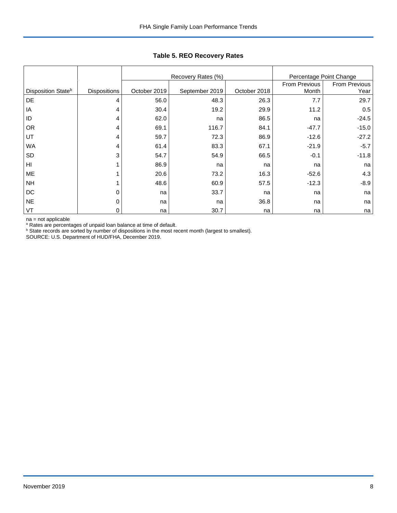|                                |                     |              | Recovery Rates (%) | Percentage Point Change |                        |                       |
|--------------------------------|---------------------|--------------|--------------------|-------------------------|------------------------|-----------------------|
| Disposition State <sup>b</sup> | <b>Dispositions</b> | October 2019 | September 2019     | October 2018            | From Previous<br>Month | From Previous<br>Year |
|                                |                     |              |                    |                         |                        |                       |
| DE                             | 4                   | 56.0         | 48.3               | 26.3                    | 7.7                    | 29.7                  |
| ΙA                             | 4                   | 30.4         | 19.2               | 29.9                    | 11.2                   | 0.5                   |
| ID                             | 4                   | 62.0         | na                 | 86.5                    | na                     | $-24.5$               |
| <b>OR</b>                      | 4                   | 69.1         | 116.7              | 84.1                    | $-47.7$                | $-15.0$               |
| UT                             | 4                   | 59.7         | 72.3               | 86.9                    | $-12.6$                | $-27.2$               |
| <b>WA</b>                      | 4                   | 61.4         | 83.3               | 67.1                    | $-21.9$                | $-5.7$                |
| SD                             | 3                   | 54.7         | 54.9               | 66.5                    | $-0.1$                 | $-11.8$               |
| HI                             | 1                   | 86.9         | na                 | na                      | na                     | na                    |
| ME                             |                     | 20.6         | 73.2               | 16.3                    | $-52.6$                | 4.3                   |
| <b>NH</b>                      |                     | 48.6         | 60.9               | 57.5                    | $-12.3$                | $-8.9$                |
| DC                             | 0                   | na           | 33.7               | na                      | na                     | na                    |
| <b>NE</b>                      | 0                   | na           | na                 | 36.8                    | na                     | na                    |
| VT                             | 0                   | na           | 30.7               | na                      | na                     | na                    |

**Table 5. REO Recovery Rates**

na = not applicable<br>ª Rates are percentages of unpaid loan balance at time of default.<br><sup>b</sup> State records are sorted by number of dispositions in the most recent month (largest to smallest).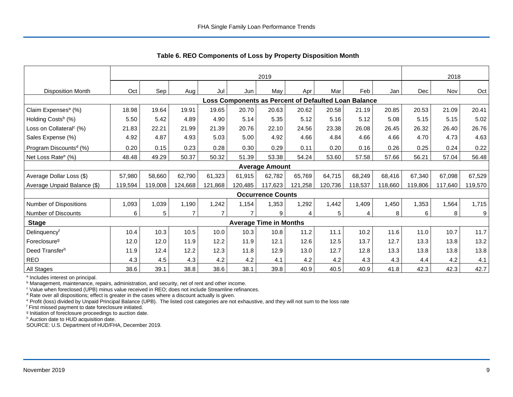|                                     | 2019    |         |                |         |                                                      |                               |         |         |         |         | 2018    |         |         |
|-------------------------------------|---------|---------|----------------|---------|------------------------------------------------------|-------------------------------|---------|---------|---------|---------|---------|---------|---------|
| <b>Disposition Month</b>            | Oct     | Sep     | Aug            | Jul     | Jun                                                  | May                           | Apr     | Mar     | Feb     | Jan     | Dec     | Nov     | Oct     |
|                                     |         |         |                |         | Loss Components as Percent of Defaulted Loan Balance |                               |         |         |         |         |         |         |         |
| Claim Expenses <sup>a</sup> (%)     | 18.98   | 19.64   | 19.91          | 19.65   | 20.70                                                | 20.63                         | 20.62   | 20.58   | 21.19   | 20.85   | 20.53   | 21.09   | 20.41   |
| Holding Costs <sup>b</sup> (%)      | 5.50    | 5.42    | 4.89           | 4.90    | 5.14                                                 | 5.35                          | 5.12    | 5.16    | 5.12    | 5.08    | 5.15    | 5.15    | 5.02    |
| Loss on Collateral <sup>c</sup> (%) | 21.83   | 22.21   | 21.99          | 21.39   | 20.76                                                | 22.10                         | 24.56   | 23.38   | 26.08   | 26.45   | 26.32   | 26.40   | 26.76   |
| Sales Expense (%)                   | 4.92    | 4.87    | 4.93           | 5.03    | 5.00                                                 | 4.92                          | 4.66    | 4.84    | 4.66    | 4.66    | 4.70    | 4.73    | 4.63    |
| Program Discounts <sup>d</sup> (%)  | 0.20    | 0.15    | 0.23           | 0.28    | 0.30                                                 | 0.29                          | 0.11    | 0.20    | 0.16    | 0.26    | 0.25    | 0.24    | 0.22    |
| Net Loss Rate <sup>e</sup> (%)      | 48.48   | 49.29   | 50.37          | 50.32   | 51.39                                                | 53.38                         | 54.24   | 53.60   | 57.58   | 57.66   | 56.21   | 57.04   | 56.48   |
|                                     |         |         |                |         |                                                      | <b>Average Amount</b>         |         |         |         |         |         |         |         |
| Average Dollar Loss (\$)            | 57,980  | 58,660  | 62,790         | 61,323  | 61.915                                               | 62,782                        | 65,769  | 64,715  | 68,249  | 68,416  | 67,340  | 67,098  | 67,529  |
| Average Unpaid Balance (\$)         | 119,594 | 119,008 | 124,668        | 121,868 | 120,485                                              | 117,623                       | 121,258 | 120,736 | 118,537 | 118,660 | 119,806 | 117,640 | 119,570 |
|                                     |         |         |                |         |                                                      | <b>Occurrence Counts</b>      |         |         |         |         |         |         |         |
| Number of Dispositions              | 1,093   | 1,039   | 1,190          | 1,242   | 1,154                                                | 1,353                         | 1,292   | 1,442   | 1,409   | 1,450   | 1,353   | 1,564   | 1,715   |
| Number of Discounts                 | 6       | 5       | $\overline{7}$ |         |                                                      | 9                             | 4       | 5       | 4       | 8       | 6       | 8       | 9       |
| <b>Stage</b>                        |         |         |                |         |                                                      | <b>Average Time in Months</b> |         |         |         |         |         |         |         |
| Delinquencyf                        | 10.4    | 10.3    | 10.5           | 10.0    | 10.3                                                 | 10.8                          | 11.2    | 11.1    | 10.2    | 11.6    | 11.0    | 10.7    | 11.7    |
| Foreclosure <sup>g</sup>            | 12.0    | 12.0    | 11.9           | 12.2    | 11.9                                                 | 12.1                          | 12.6    | 12.5    | 13.7    | 12.7    | 13.3    | 13.8    | 13.2    |
| Deed Transfer <sup>h</sup>          | 11.9    | 12.4    | 12.2           | 12.3    | 11.8                                                 | 12.9                          | 13.0    | 12.7    | 12.8    | 13.3    | 13.8    | 13.8    | 13.8    |
| <b>REO</b>                          | 4.3     | 4.5     | 4.3            | 4.2     | 4.2                                                  | 4.1                           | 4.2     | 4.2     | 4.3     | 4.3     | 4.4     | 4.2     | 4.1     |
| All Stages                          | 38.6    | 39.1    | 38.8           | 38.6    | 38.1                                                 | 39.8                          | 40.9    | 40.5    | 40.9    | 41.8    | 42.3    | 42.3    | 42.7    |

 **Table 6. REO Components of Loss by Property Disposition Month**

<sup>a</sup> Includes interest on principal.

<sup>b</sup> Management, maintenance, repairs, administration, and security, net of rent and other income.

c Value when foreclosed (UPB) minus value received in REO; does not include Streamline refinances.

<sup>d</sup> Rate over all dispositions; effect is greater in the cases where a discount actually is given.

e Profit (loss) divided by Unpaid Principal Balance (UPB). The listed cost categories are not exhaustive, and they will not sum to the loss rate

f First missed payment to date foreclosure initiated.

<sup>g</sup> Initiation of foreclosure proceedings to auction date.

h Auction date to HUD acquisition date.